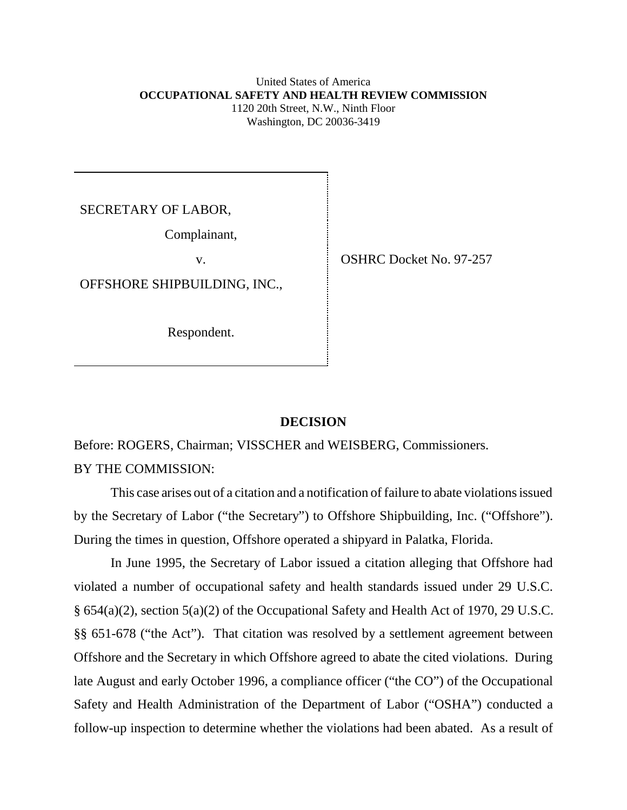#### United States of America **OCCUPATIONAL SAFETY AND HEALTH REVIEW COMMISSION** 1120 20th Street, N.W., Ninth Floor Washington, DC 20036-3419

SECRETARY OF LABOR,

Complainant,

OFFSHORE SHIPBUILDING, INC.,

Respondent.

v. SHRC Docket No. 97-257

## **DECISION**

Before: ROGERS, Chairman; VISSCHER and WEISBERG, Commissioners. BY THE COMMISSION:

This case arises out of a citation and a notification of failure to abate violations issued by the Secretary of Labor ("the Secretary") to Offshore Shipbuilding, Inc. ("Offshore"). During the times in question, Offshore operated a shipyard in Palatka, Florida.

In June 1995, the Secretary of Labor issued a citation alleging that Offshore had violated a number of occupational safety and health standards issued under 29 U.S.C. § 654(a)(2), section 5(a)(2) of the Occupational Safety and Health Act of 1970, 29 U.S.C. §§ 651-678 ("the Act"). That citation was resolved by a settlement agreement between Offshore and the Secretary in which Offshore agreed to abate the cited violations. During late August and early October 1996, a compliance officer ("the CO") of the Occupational Safety and Health Administration of the Department of Labor ("OSHA") conducted a follow-up inspection to determine whether the violations had been abated. As a result of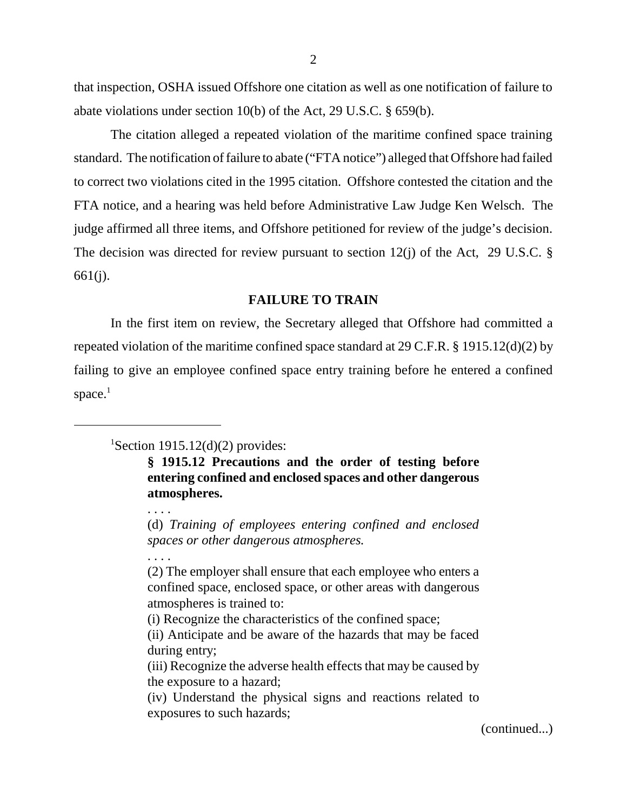that inspection, OSHA issued Offshore one citation as well as one notification of failure to abate violations under section 10(b) of the Act, 29 U.S.C. § 659(b).

The citation alleged a repeated violation of the maritime confined space training standard. The notification of failure to abate ("FTA notice") alleged that Offshore had failed to correct two violations cited in the 1995 citation. Offshore contested the citation and the FTA notice, and a hearing was held before Administrative Law Judge Ken Welsch. The judge affirmed all three items, and Offshore petitioned for review of the judge's decision. The decision was directed for review pursuant to section  $12(j)$  of the Act, 29 U.S.C. § 661(j).

## **FAILURE TO TRAIN**

In the first item on review, the Secretary alleged that Offshore had committed a repeated violation of the maritime confined space standard at 29 C.F.R. § 1915.12(d)(2) by failing to give an employee confined space entry training before he entered a confined space. $<sup>1</sup>$ </sup>

**§ 1915.12 Precautions and the order of testing before entering confined and enclosed spaces and other dangerous atmospheres.**

(d) *Training of employees entering confined and enclosed spaces or other dangerous atmospheres.*

. . . .

. . . .

(2) The employer shall ensure that each employee who enters a confined space, enclosed space, or other areas with dangerous atmospheres is trained to:

(i) Recognize the characteristics of the confined space;

(continued...)

<sup>&</sup>lt;sup>1</sup>Section 1915.12(d)(2) provides:

<sup>(</sup>ii) Anticipate and be aware of the hazards that may be faced during entry;

<sup>(</sup>iii) Recognize the adverse health effects that may be caused by the exposure to a hazard;

<sup>(</sup>iv) Understand the physical signs and reactions related to exposures to such hazards;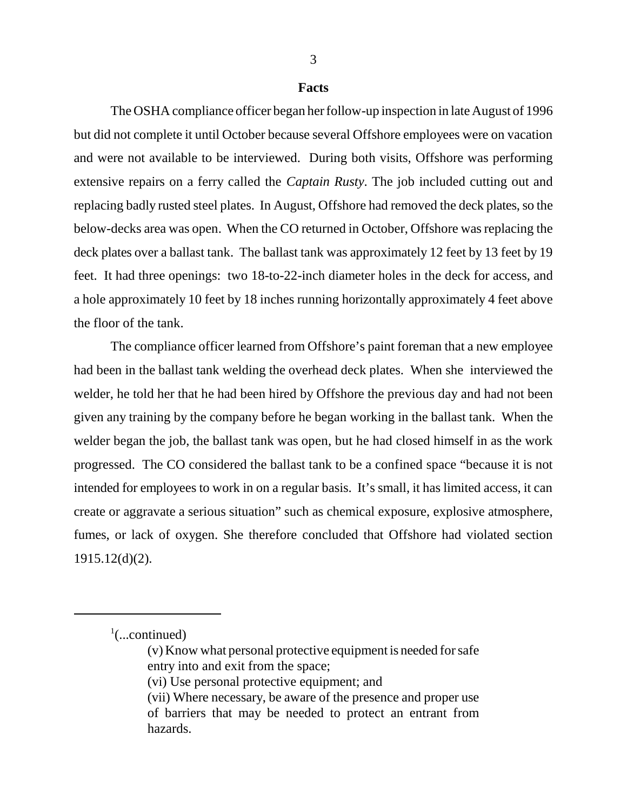### **Facts**

The OSHA compliance officer began her follow-up inspection in late August of 1996 but did not complete it until October because several Offshore employees were on vacation and were not available to be interviewed. During both visits, Offshore was performing extensive repairs on a ferry called the *Captain Rusty*. The job included cutting out and replacing badly rusted steel plates. In August, Offshore had removed the deck plates, so the below-decks area was open. When the CO returned in October, Offshore was replacing the deck plates over a ballast tank. The ballast tank was approximately 12 feet by 13 feet by 19 feet. It had three openings: two 18-to-22-inch diameter holes in the deck for access, and a hole approximately 10 feet by 18 inches running horizontally approximately 4 feet above the floor of the tank.

The compliance officer learned from Offshore's paint foreman that a new employee had been in the ballast tank welding the overhead deck plates. When she interviewed the welder, he told her that he had been hired by Offshore the previous day and had not been given any training by the company before he began working in the ballast tank. When the welder began the job, the ballast tank was open, but he had closed himself in as the work progressed. The CO considered the ballast tank to be a confined space "because it is not intended for employees to work in on a regular basis. It's small, it has limited access, it can create or aggravate a serious situation" such as chemical exposure, explosive atmosphere, fumes, or lack of oxygen. She therefore concluded that Offshore had violated section 1915.12(d)(2).

 $\frac{1}{2}$ (...continued)

<sup>(</sup>v) Know what personal protective equipment is needed for safe entry into and exit from the space;

<sup>(</sup>vi) Use personal protective equipment; and

<sup>(</sup>vii) Where necessary, be aware of the presence and proper use of barriers that may be needed to protect an entrant from hazards.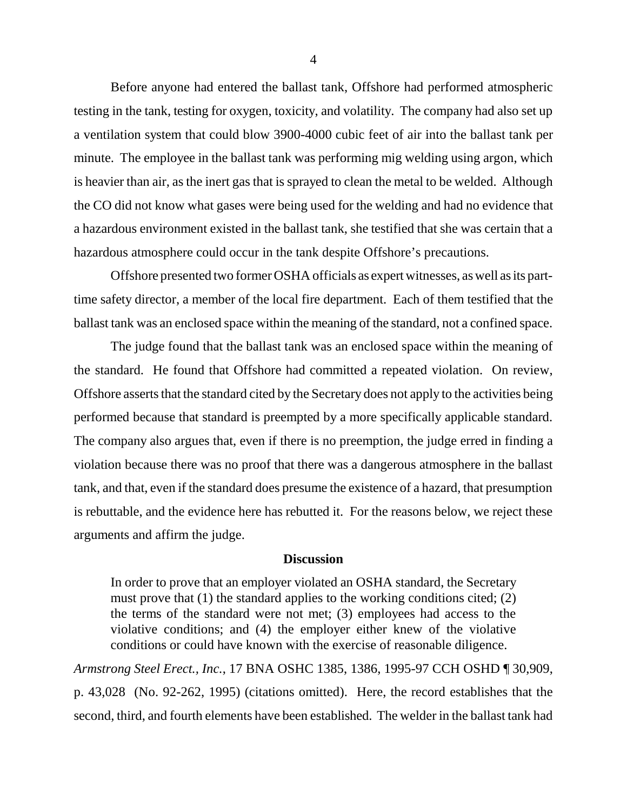Before anyone had entered the ballast tank, Offshore had performed atmospheric testing in the tank, testing for oxygen, toxicity, and volatility. The company had also set up a ventilation system that could blow 3900-4000 cubic feet of air into the ballast tank per minute. The employee in the ballast tank was performing mig welding using argon, which is heavier than air, as the inert gas that is sprayed to clean the metal to be welded. Although the CO did not know what gases were being used for the welding and had no evidence that a hazardous environment existed in the ballast tank, she testified that she was certain that a hazardous atmosphere could occur in the tank despite Offshore's precautions.

Offshore presented two former OSHA officials as expert witnesses, as well as its parttime safety director, a member of the local fire department. Each of them testified that the ballast tank was an enclosed space within the meaning of the standard, not a confined space.

The judge found that the ballast tank was an enclosed space within the meaning of the standard. He found that Offshore had committed a repeated violation. On review, Offshore asserts that the standard cited by the Secretary does not apply to the activities being performed because that standard is preempted by a more specifically applicable standard. The company also argues that, even if there is no preemption, the judge erred in finding a violation because there was no proof that there was a dangerous atmosphere in the ballast tank, and that, even if the standard does presume the existence of a hazard, that presumption is rebuttable, and the evidence here has rebutted it. For the reasons below, we reject these arguments and affirm the judge.

### **Discussion**

In order to prove that an employer violated an OSHA standard, the Secretary must prove that  $(1)$  the standard applies to the working conditions cited;  $(2)$ the terms of the standard were not met; (3) employees had access to the violative conditions; and (4) the employer either knew of the violative conditions or could have known with the exercise of reasonable diligence.

*Armstrong Steel Erect., Inc.*, 17 BNA OSHC 1385, 1386, 1995-97 CCH OSHD ¶ 30,909, p. 43,028 (No. 92-262, 1995) (citations omitted). Here, the record establishes that the second, third, and fourth elements have been established. The welder in the ballast tank had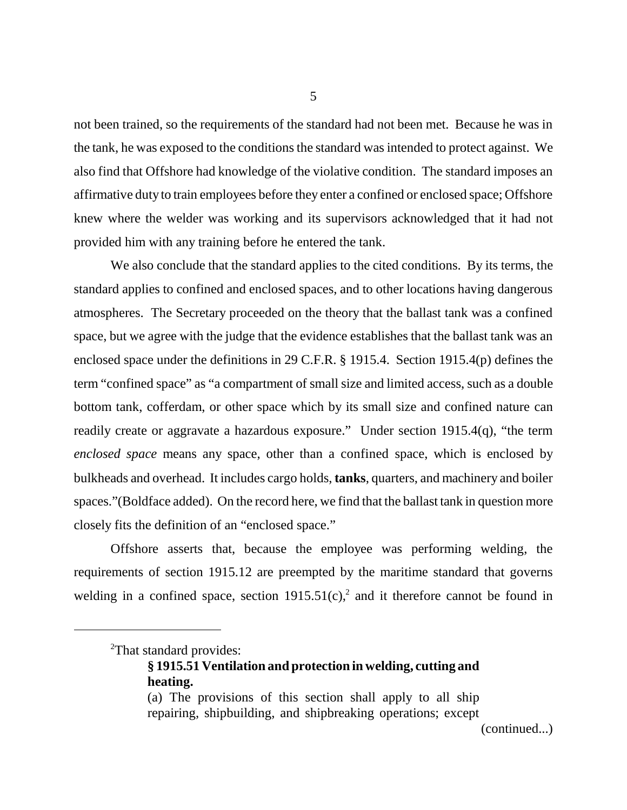not been trained, so the requirements of the standard had not been met. Because he was in the tank, he was exposed to the conditions the standard was intended to protect against. We also find that Offshore had knowledge of the violative condition. The standard imposes an affirmative duty to train employees before they enter a confined or enclosed space; Offshore knew where the welder was working and its supervisors acknowledged that it had not provided him with any training before he entered the tank.

We also conclude that the standard applies to the cited conditions. By its terms, the standard applies to confined and enclosed spaces, and to other locations having dangerous atmospheres. The Secretary proceeded on the theory that the ballast tank was a confined space, but we agree with the judge that the evidence establishes that the ballast tank was an enclosed space under the definitions in 29 C.F.R. § 1915.4. Section 1915.4(p) defines the term "confined space" as "a compartment of small size and limited access, such as a double bottom tank, cofferdam, or other space which by its small size and confined nature can readily create or aggravate a hazardous exposure." Under section 1915.4(q), "the term *enclosed space* means any space, other than a confined space, which is enclosed by bulkheads and overhead. It includes cargo holds, **tanks**, quarters, and machinery and boiler spaces."(Boldface added). On the record here, we find that the ballast tank in question more closely fits the definition of an "enclosed space."

Offshore asserts that, because the employee was performing welding, the requirements of section 1915.12 are preempted by the maritime standard that governs welding in a confined space, section  $1915.51(c)$ , and it therefore cannot be found in

(continued...)

<sup>&</sup>lt;sup>2</sup>That standard provides:

**<sup>§ 1915.51</sup> Ventilation and protection in welding, cutting and heating.**

<sup>(</sup>a) The provisions of this section shall apply to all ship repairing, shipbuilding, and shipbreaking operations; except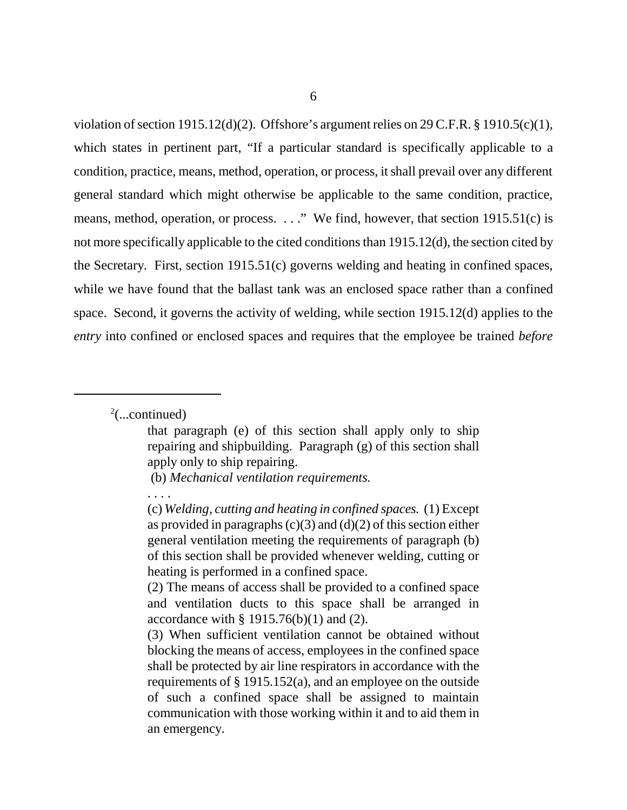violation of section 1915.12(d)(2). Offshore's argument relies on 29 C.F.R. § 1910.5(c)(1), which states in pertinent part, "If a particular standard is specifically applicable to a condition, practice, means, method, operation, or process, it shall prevail over any different general standard which might otherwise be applicable to the same condition, practice, means, method, operation, or process. . . ." We find, however, that section 1915.51(c) is not more specifically applicable to the cited conditions than 1915.12(d), the section cited by the Secretary. First, section 1915.51(c) governs welding and heating in confined spaces, while we have found that the ballast tank was an enclosed space rather than a confined space. Second, it governs the activity of welding, while section 1915.12(d) applies to the *entry* into confined or enclosed spaces and requires that the employee be trained *before*

 $2$ (...continued)

. . . .

that paragraph (e) of this section shall apply only to ship repairing and shipbuilding. Paragraph (g) of this section shall apply only to ship repairing.

 <sup>(</sup>b) *Mechanical ventilation requirements.*

<sup>(</sup>c) *Welding, cutting and heating in confined spaces.* (1) Except as provided in paragraphs  $(c)(3)$  and  $(d)(2)$  of this section either general ventilation meeting the requirements of paragraph (b) of this section shall be provided whenever welding, cutting or heating is performed in a confined space.

<sup>(2)</sup> The means of access shall be provided to a confined space and ventilation ducts to this space shall be arranged in accordance with  $\S$  1915.76(b)(1) and (2).

<sup>(3)</sup> When sufficient ventilation cannot be obtained without blocking the means of access, employees in the confined space shall be protected by air line respirators in accordance with the requirements of § 1915.152(a), and an employee on the outside of such a confined space shall be assigned to maintain communication with those working within it and to aid them in an emergency.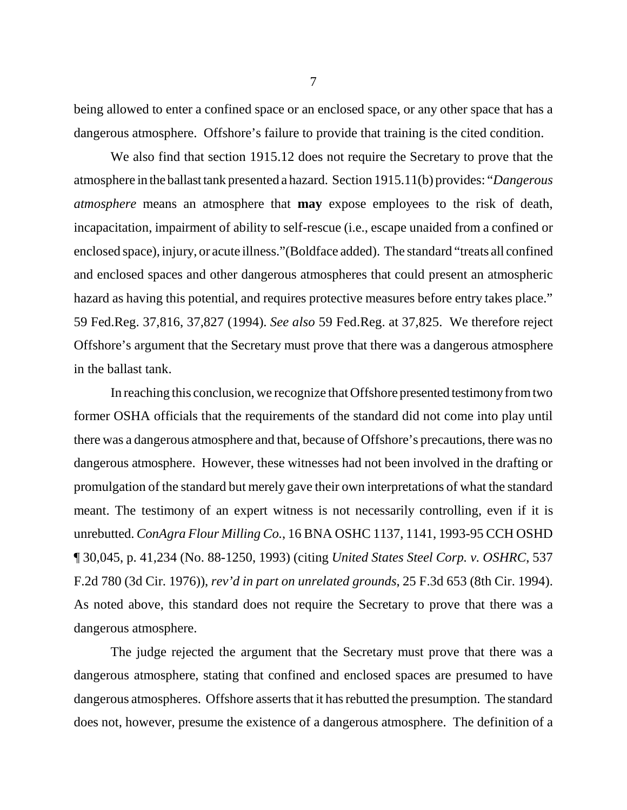being allowed to enter a confined space or an enclosed space, or any other space that has a dangerous atmosphere. Offshore's failure to provide that training is the cited condition.

We also find that section 1915.12 does not require the Secretary to prove that the atmosphere in the ballast tank presented a hazard. Section 1915.11(b) provides: "*Dangerous atmosphere* means an atmosphere that **may** expose employees to the risk of death, incapacitation, impairment of ability to self-rescue (i.e., escape unaided from a confined or enclosed space), injury, or acute illness."(Boldface added). The standard "treats all confined and enclosed spaces and other dangerous atmospheres that could present an atmospheric hazard as having this potential, and requires protective measures before entry takes place." 59 Fed.Reg. 37,816, 37,827 (1994). *See also* 59 Fed.Reg. at 37,825. We therefore reject Offshore's argument that the Secretary must prove that there was a dangerous atmosphere in the ballast tank.

In reaching this conclusion, we recognize that Offshore presented testimony from two former OSHA officials that the requirements of the standard did not come into play until there was a dangerous atmosphere and that, because of Offshore's precautions, there was no dangerous atmosphere. However, these witnesses had not been involved in the drafting or promulgation of the standard but merely gave their own interpretations of what the standard meant. The testimony of an expert witness is not necessarily controlling, even if it is unrebutted. *ConAgra Flour Milling Co.*, 16 BNA OSHC 1137, 1141, 1993-95 CCH OSHD ¶ 30,045, p. 41,234 (No. 88-1250, 1993) (citing *United States Steel Corp. v. OSHRC*, 537 F.2d 780 (3d Cir. 1976)), *rev'd in part on unrelated grounds*, 25 F.3d 653 (8th Cir. 1994). As noted above, this standard does not require the Secretary to prove that there was a dangerous atmosphere.

The judge rejected the argument that the Secretary must prove that there was a dangerous atmosphere, stating that confined and enclosed spaces are presumed to have dangerous atmospheres. Offshore asserts that it has rebutted the presumption. The standard does not, however, presume the existence of a dangerous atmosphere. The definition of a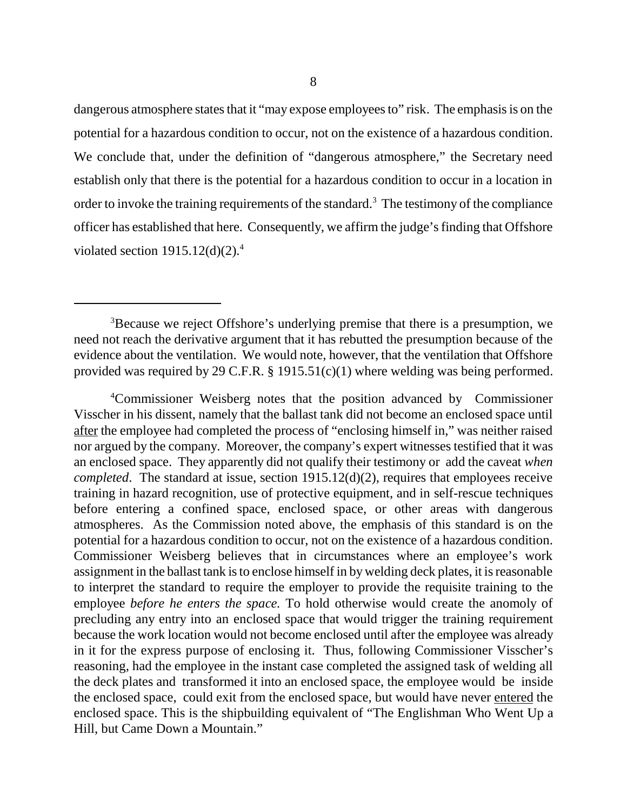dangerous atmosphere states that it "may expose employees to" risk. The emphasis is on the potential for a hazardous condition to occur, not on the existence of a hazardous condition. We conclude that, under the definition of "dangerous atmosphere," the Secretary need establish only that there is the potential for a hazardous condition to occur in a location in order to invoke the training requirements of the standard.<sup>3</sup> The testimony of the compliance officer has established that here. Consequently, we affirm the judge's finding that Offshore violated section  $1915.12(d)(2).<sup>4</sup>$ 

4 Commissioner Weisberg notes that the position advanced by Commissioner Visscher in his dissent, namely that the ballast tank did not become an enclosed space until after the employee had completed the process of "enclosing himself in," was neither raised nor argued by the company. Moreover, the company's expert witnesses testified that it was an enclosed space. They apparently did not qualify their testimony or add the caveat *when completed*. The standard at issue, section 1915.12(d)(2), requires that employees receive training in hazard recognition, use of protective equipment, and in self-rescue techniques before entering a confined space, enclosed space, or other areas with dangerous atmospheres. As the Commission noted above, the emphasis of this standard is on the potential for a hazardous condition to occur, not on the existence of a hazardous condition. Commissioner Weisberg believes that in circumstances where an employee's work assignment in the ballast tank is to enclose himself in by welding deck plates, it is reasonable to interpret the standard to require the employer to provide the requisite training to the employee *before he enters the space.* To hold otherwise would create the anomoly of precluding any entry into an enclosed space that would trigger the training requirement because the work location would not become enclosed until after the employee was already in it for the express purpose of enclosing it. Thus, following Commissioner Visscher's reasoning, had the employee in the instant case completed the assigned task of welding all the deck plates and transformed it into an enclosed space, the employee would be inside the enclosed space, could exit from the enclosed space, but would have never entered the enclosed space. This is the shipbuilding equivalent of "The Englishman Who Went Up a Hill, but Came Down a Mountain."

<sup>&</sup>lt;sup>3</sup>Because we reject Offshore's underlying premise that there is a presumption, we need not reach the derivative argument that it has rebutted the presumption because of the evidence about the ventilation. We would note, however, that the ventilation that Offshore provided was required by 29 C.F.R. § 1915.51(c)(1) where welding was being performed.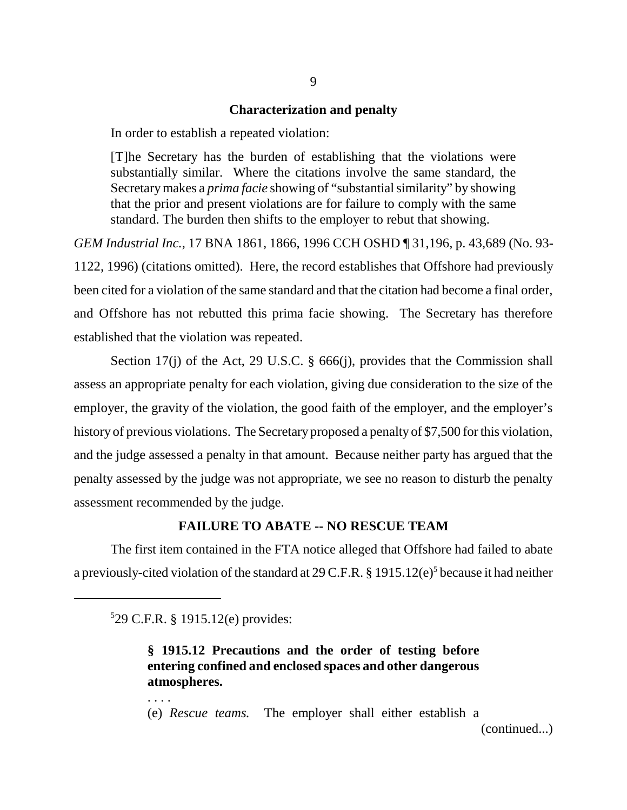### **Characterization and penalty**

In order to establish a repeated violation:

[T]he Secretary has the burden of establishing that the violations were substantially similar. Where the citations involve the same standard, the Secretary makes a *prima facie* showing of "substantial similarity" by showing that the prior and present violations are for failure to comply with the same standard. The burden then shifts to the employer to rebut that showing.

*GEM Industrial Inc.*, 17 BNA 1861, 1866, 1996 CCH OSHD ¶ 31,196, p. 43,689 (No. 93- 1122, 1996) (citations omitted). Here, the record establishes that Offshore had previously been cited for a violation of the same standard and that the citation had become a final order, and Offshore has not rebutted this prima facie showing. The Secretary has therefore established that the violation was repeated.

Section 17(j) of the Act, 29 U.S.C. § 666(j), provides that the Commission shall assess an appropriate penalty for each violation, giving due consideration to the size of the employer, the gravity of the violation, the good faith of the employer, and the employer's history of previous violations. The Secretary proposed a penalty of \$7,500 for this violation, and the judge assessed a penalty in that amount. Because neither party has argued that the penalty assessed by the judge was not appropriate, we see no reason to disturb the penalty assessment recommended by the judge.

# **FAILURE TO ABATE -- NO RESCUE TEAM**

The first item contained in the FTA notice alleged that Offshore had failed to abate a previously-cited violation of the standard at 29 C.F.R.  $\S$  1915.12(e)<sup>5</sup> because it had neither

5 29 C.F.R. § 1915.12(e) provides:

. . . .

# **§ 1915.12 Precautions and the order of testing before entering confined and enclosed spaces and other dangerous atmospheres.**

(e) *Rescue teams.* The employer shall either establish a

(continued...)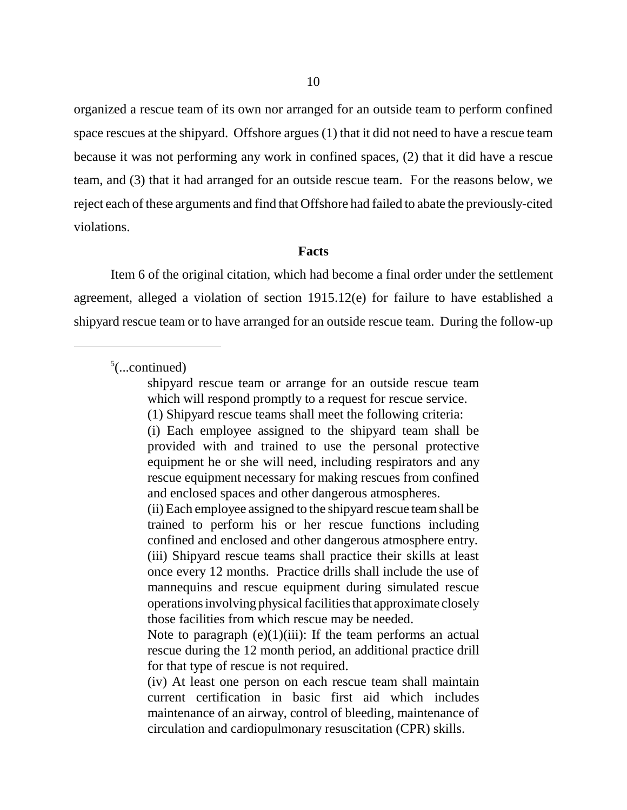organized a rescue team of its own nor arranged for an outside team to perform confined space rescues at the shipyard. Offshore argues (1) that it did not need to have a rescue team because it was not performing any work in confined spaces, (2) that it did have a rescue team, and (3) that it had arranged for an outside rescue team. For the reasons below, we reject each of these arguments and find that Offshore had failed to abate the previously-cited violations.

#### **Facts**

Item 6 of the original citation, which had become a final order under the settlement agreement, alleged a violation of section 1915.12(e) for failure to have established a shipyard rescue team or to have arranged for an outside rescue team. During the follow-up

 $5$ (...continued)

(i) Each employee assigned to the shipyard team shall be provided with and trained to use the personal protective equipment he or she will need, including respirators and any rescue equipment necessary for making rescues from confined and enclosed spaces and other dangerous atmospheres.

(ii) Each employee assigned to the shipyard rescue team shall be trained to perform his or her rescue functions including confined and enclosed and other dangerous atmosphere entry. (iii) Shipyard rescue teams shall practice their skills at least once every 12 months. Practice drills shall include the use of mannequins and rescue equipment during simulated rescue operations involving physical facilities that approximate closely those facilities from which rescue may be needed.

Note to paragraph  $(e)(1)(iii)$ : If the team performs an actual rescue during the 12 month period, an additional practice drill for that type of rescue is not required.

(iv) At least one person on each rescue team shall maintain current certification in basic first aid which includes maintenance of an airway, control of bleeding, maintenance of circulation and cardiopulmonary resuscitation (CPR) skills.

shipyard rescue team or arrange for an outside rescue team which will respond promptly to a request for rescue service.

<sup>(1)</sup> Shipyard rescue teams shall meet the following criteria: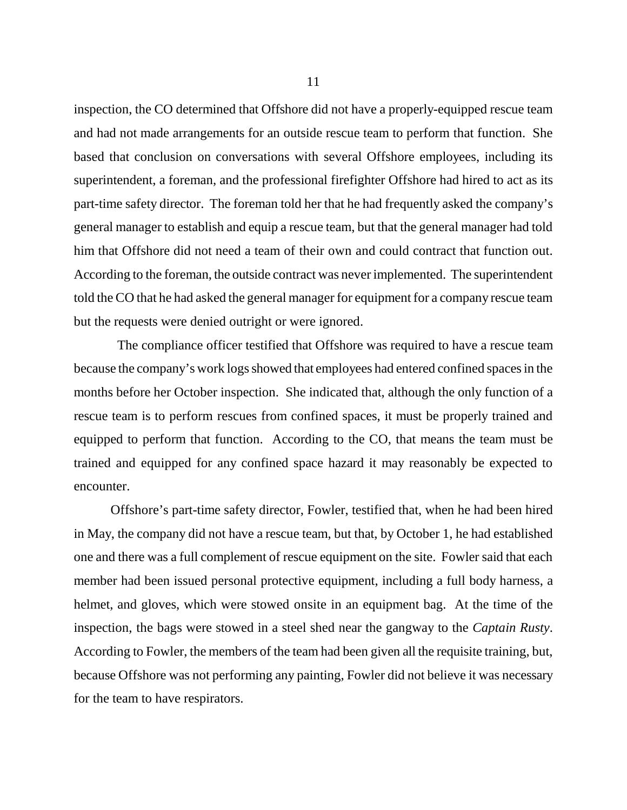inspection, the CO determined that Offshore did not have a properly-equipped rescue team and had not made arrangements for an outside rescue team to perform that function. She based that conclusion on conversations with several Offshore employees, including its superintendent, a foreman, and the professional firefighter Offshore had hired to act as its part-time safety director. The foreman told her that he had frequently asked the company's general manager to establish and equip a rescue team, but that the general manager had told him that Offshore did not need a team of their own and could contract that function out. According to the foreman, the outside contract was never implemented. The superintendent told the CO that he had asked the general manager for equipment for a company rescue team but the requests were denied outright or were ignored.

 The compliance officer testified that Offshore was required to have a rescue team because the company's work logs showed that employees had entered confined spaces in the months before her October inspection. She indicated that, although the only function of a rescue team is to perform rescues from confined spaces, it must be properly trained and equipped to perform that function. According to the CO, that means the team must be trained and equipped for any confined space hazard it may reasonably be expected to encounter.

Offshore's part-time safety director, Fowler, testified that, when he had been hired in May, the company did not have a rescue team, but that, by October 1, he had established one and there was a full complement of rescue equipment on the site. Fowler said that each member had been issued personal protective equipment, including a full body harness, a helmet, and gloves, which were stowed onsite in an equipment bag. At the time of the inspection, the bags were stowed in a steel shed near the gangway to the *Captain Rusty*. According to Fowler, the members of the team had been given all the requisite training, but, because Offshore was not performing any painting, Fowler did not believe it was necessary for the team to have respirators.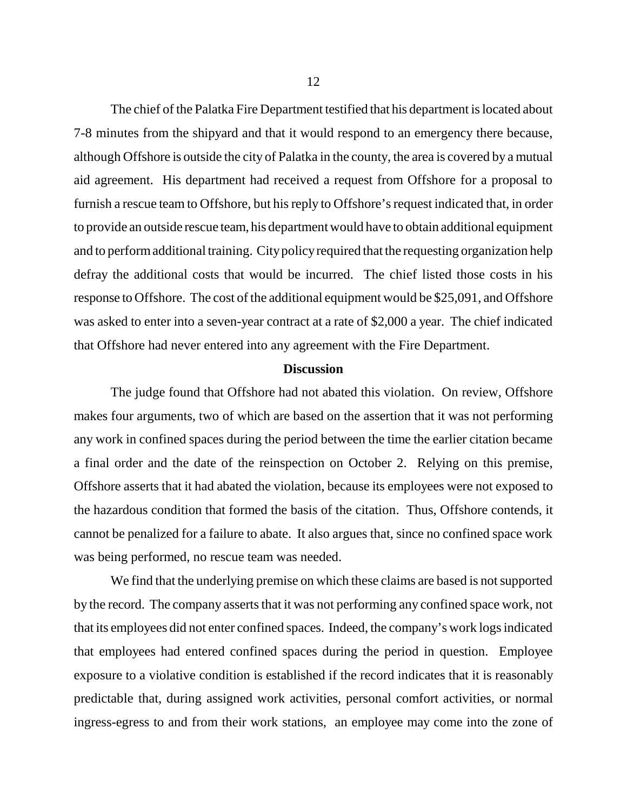The chief of the Palatka Fire Department testified that his department is located about 7-8 minutes from the shipyard and that it would respond to an emergency there because, although Offshore is outside the city of Palatka in the county, the area is covered by a mutual aid agreement. His department had received a request from Offshore for a proposal to furnish a rescue team to Offshore, but his reply to Offshore's request indicated that, in order to provide an outside rescue team, his department would have to obtain additional equipment and to perform additional training. City policy required that the requesting organization help defray the additional costs that would be incurred. The chief listed those costs in his response to Offshore. The cost of the additional equipment would be \$25,091, and Offshore was asked to enter into a seven-year contract at a rate of \$2,000 a year. The chief indicated that Offshore had never entered into any agreement with the Fire Department.

### **Discussion**

The judge found that Offshore had not abated this violation. On review, Offshore makes four arguments, two of which are based on the assertion that it was not performing any work in confined spaces during the period between the time the earlier citation became a final order and the date of the reinspection on October 2. Relying on this premise, Offshore asserts that it had abated the violation, because its employees were not exposed to the hazardous condition that formed the basis of the citation. Thus, Offshore contends, it cannot be penalized for a failure to abate. It also argues that, since no confined space work was being performed, no rescue team was needed.

We find that the underlying premise on which these claims are based is not supported by the record. The company asserts that it was not performing any confined space work, not that its employees did not enter confined spaces. Indeed, the company's work logs indicated that employees had entered confined spaces during the period in question. Employee exposure to a violative condition is established if the record indicates that it is reasonably predictable that, during assigned work activities, personal comfort activities, or normal ingress-egress to and from their work stations, an employee may come into the zone of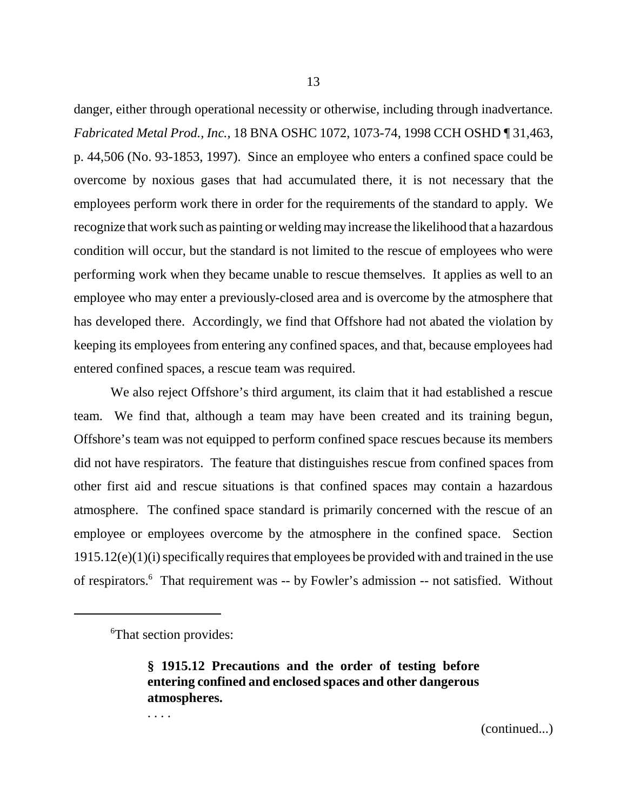danger, either through operational necessity or otherwise, including through inadvertance. *Fabricated Metal Prod., Inc.*, 18 BNA OSHC 1072, 1073-74, 1998 CCH OSHD ¶ 31,463, p. 44,506 (No. 93-1853, 1997). Since an employee who enters a confined space could be overcome by noxious gases that had accumulated there, it is not necessary that the employees perform work there in order for the requirements of the standard to apply. We recognize that work such as painting or welding may increase the likelihood that a hazardous condition will occur, but the standard is not limited to the rescue of employees who were performing work when they became unable to rescue themselves. It applies as well to an employee who may enter a previously-closed area and is overcome by the atmosphere that has developed there. Accordingly, we find that Offshore had not abated the violation by keeping its employees from entering any confined spaces, and that, because employees had entered confined spaces, a rescue team was required.

We also reject Offshore's third argument, its claim that it had established a rescue team. We find that, although a team may have been created and its training begun, Offshore's team was not equipped to perform confined space rescues because its members did not have respirators. The feature that distinguishes rescue from confined spaces from other first aid and rescue situations is that confined spaces may contain a hazardous atmosphere. The confined space standard is primarily concerned with the rescue of an employee or employees overcome by the atmosphere in the confined space. Section 1915.12(e)(1)(i) specifically requires that employees be provided with and trained in the use of respirators.<sup>6</sup> That requirement was -- by Fowler's admission -- not satisfied. Without

. . . .

<sup>6</sup> That section provides:

**<sup>§ 1915.12</sup> Precautions and the order of testing before entering confined and enclosed spaces and other dangerous atmospheres.**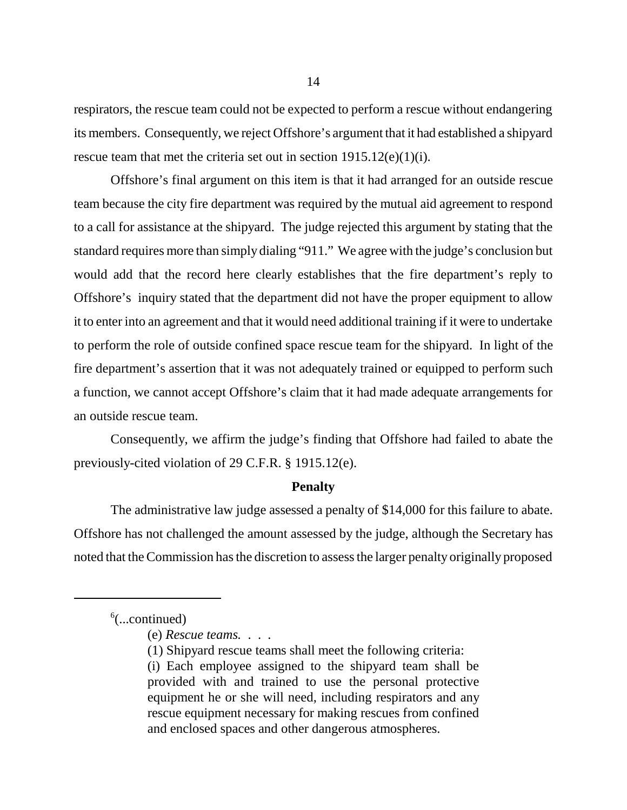respirators, the rescue team could not be expected to perform a rescue without endangering its members. Consequently, we reject Offshore's argument that it had established a shipyard rescue team that met the criteria set out in section  $1915.12(e)(1)(i)$ .

Offshore's final argument on this item is that it had arranged for an outside rescue team because the city fire department was required by the mutual aid agreement to respond to a call for assistance at the shipyard. The judge rejected this argument by stating that the standard requires more than simply dialing "911." We agree with the judge's conclusion but would add that the record here clearly establishes that the fire department's reply to Offshore's inquiry stated that the department did not have the proper equipment to allow it to enter into an agreement and that it would need additional training if it were to undertake to perform the role of outside confined space rescue team for the shipyard. In light of the fire department's assertion that it was not adequately trained or equipped to perform such a function, we cannot accept Offshore's claim that it had made adequate arrangements for an outside rescue team.

Consequently, we affirm the judge's finding that Offshore had failed to abate the previously-cited violation of 29 C.F.R. § 1915.12(e).

#### **Penalty**

The administrative law judge assessed a penalty of \$14,000 for this failure to abate. Offshore has not challenged the amount assessed by the judge, although the Secretary has noted that the Commission has the discretion to assess the larger penalty originally proposed

 $6$ (...continued)

<sup>(</sup>e) *Rescue teams.* . . .

<sup>(1)</sup> Shipyard rescue teams shall meet the following criteria:

<sup>(</sup>i) Each employee assigned to the shipyard team shall be provided with and trained to use the personal protective equipment he or she will need, including respirators and any rescue equipment necessary for making rescues from confined and enclosed spaces and other dangerous atmospheres.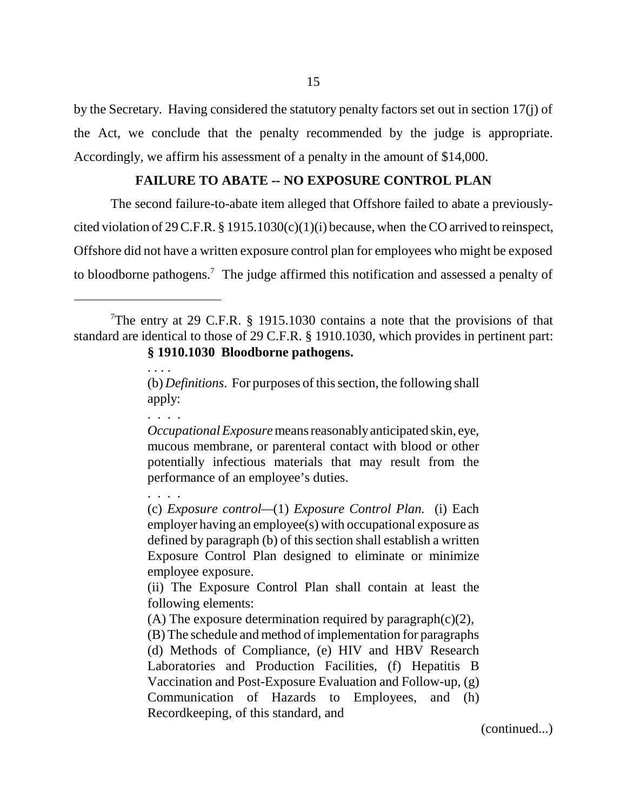by the Secretary. Having considered the statutory penalty factors set out in section 17(j) of the Act, we conclude that the penalty recommended by the judge is appropriate. Accordingly, we affirm his assessment of a penalty in the amount of \$14,000.

# **FAILURE TO ABATE -- NO EXPOSURE CONTROL PLAN**

The second failure-to-abate item alleged that Offshore failed to abate a previouslycited violation of 29 C.F.R. § 1915.1030(c)(1)(i) because, when the CO arrived to reinspect, Offshore did not have a written exposure control plan for employees who might be exposed to bloodborne pathogens.<sup>7</sup> The judge affirmed this notification and assessed a penalty of

. . . .

. . . .

. . . .

*Occupational Exposure* means reasonably anticipated skin, eye, mucous membrane, or parenteral contact with blood or other potentially infectious materials that may result from the performance of an employee's duties.

(c) *Exposure control—*(1) *Exposure Control Plan.* (i) Each employer having an employee(s) with occupational exposure as defined by paragraph (b) of this section shall establish a written Exposure Control Plan designed to eliminate or minimize employee exposure.

(ii) The Exposure Control Plan shall contain at least the following elements:

(A) The exposure determination required by paragraph(c)(2),

(B) The schedule and method of implementation for paragraphs (d) Methods of Compliance, (e) HIV and HBV Research Laboratories and Production Facilities, (f) Hepatitis B Vaccination and Post-Exposure Evaluation and Follow-up, (g) Communication of Hazards to Employees, and (h) Recordkeeping, of this standard, and

(continued...)

<sup>&</sup>lt;sup>7</sup>The entry at 29 C.F.R. § 1915.1030 contains a note that the provisions of that standard are identical to those of 29 C.F.R. § 1910.1030, which provides in pertinent part: **§ 1910.1030 Bloodborne pathogens.**

<sup>(</sup>b) *Definitions*. For purposes of this section, the following shall apply: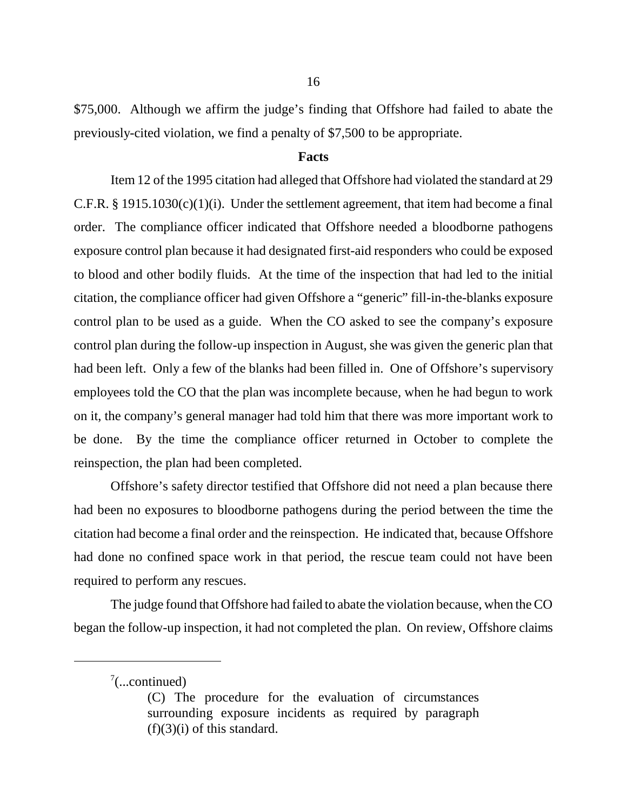\$75,000. Although we affirm the judge's finding that Offshore had failed to abate the previously-cited violation, we find a penalty of \$7,500 to be appropriate.

### **Facts**

Item 12 of the 1995 citation had alleged that Offshore had violated the standard at 29 C.F.R.  $\S$  1915.1030(c)(1)(i). Under the settlement agreement, that item had become a final order. The compliance officer indicated that Offshore needed a bloodborne pathogens exposure control plan because it had designated first-aid responders who could be exposed to blood and other bodily fluids. At the time of the inspection that had led to the initial citation, the compliance officer had given Offshore a "generic" fill-in-the-blanks exposure control plan to be used as a guide. When the CO asked to see the company's exposure control plan during the follow-up inspection in August, she was given the generic plan that had been left. Only a few of the blanks had been filled in. One of Offshore's supervisory employees told the CO that the plan was incomplete because, when he had begun to work on it, the company's general manager had told him that there was more important work to be done. By the time the compliance officer returned in October to complete the reinspection, the plan had been completed.

Offshore's safety director testified that Offshore did not need a plan because there had been no exposures to bloodborne pathogens during the period between the time the citation had become a final order and the reinspection. He indicated that, because Offshore had done no confined space work in that period, the rescue team could not have been required to perform any rescues.

The judge found that Offshore had failed to abate the violation because, when the CO began the follow-up inspection, it had not completed the plan. On review, Offshore claims

 $7$ (...continued)

<sup>(</sup>C) The procedure for the evaluation of circumstances surrounding exposure incidents as required by paragraph  $(f)(3)(i)$  of this standard.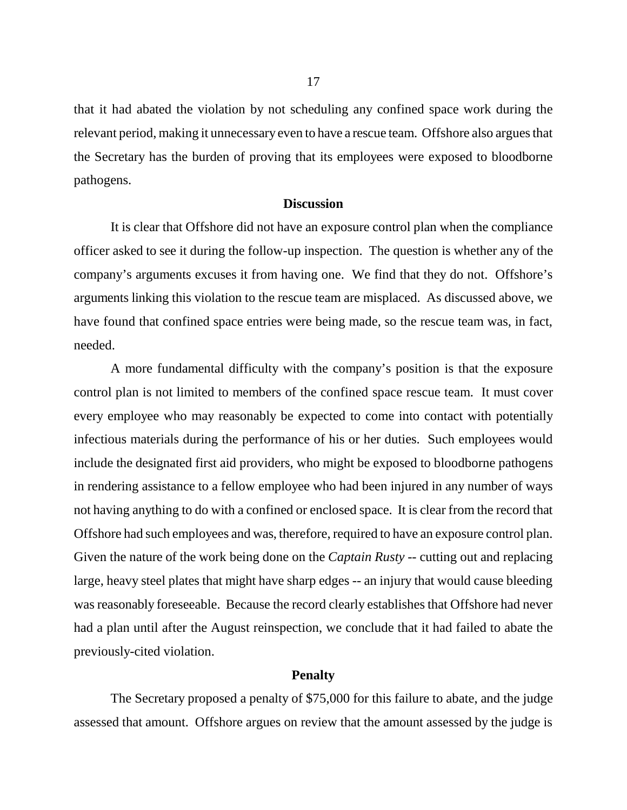that it had abated the violation by not scheduling any confined space work during the relevant period, making it unnecessary even to have a rescue team. Offshore also argues that the Secretary has the burden of proving that its employees were exposed to bloodborne pathogens.

# **Discussion**

It is clear that Offshore did not have an exposure control plan when the compliance officer asked to see it during the follow-up inspection. The question is whether any of the company's arguments excuses it from having one. We find that they do not. Offshore's arguments linking this violation to the rescue team are misplaced. As discussed above, we have found that confined space entries were being made, so the rescue team was, in fact, needed.

A more fundamental difficulty with the company's position is that the exposure control plan is not limited to members of the confined space rescue team. It must cover every employee who may reasonably be expected to come into contact with potentially infectious materials during the performance of his or her duties. Such employees would include the designated first aid providers, who might be exposed to bloodborne pathogens in rendering assistance to a fellow employee who had been injured in any number of ways not having anything to do with a confined or enclosed space. It is clear from the record that Offshore had such employees and was, therefore, required to have an exposure control plan. Given the nature of the work being done on the *Captain Rusty* -- cutting out and replacing large, heavy steel plates that might have sharp edges -- an injury that would cause bleeding was reasonably foreseeable. Because the record clearly establishes that Offshore had never had a plan until after the August reinspection, we conclude that it had failed to abate the previously-cited violation.

## **Penalty**

The Secretary proposed a penalty of \$75,000 for this failure to abate, and the judge assessed that amount. Offshore argues on review that the amount assessed by the judge is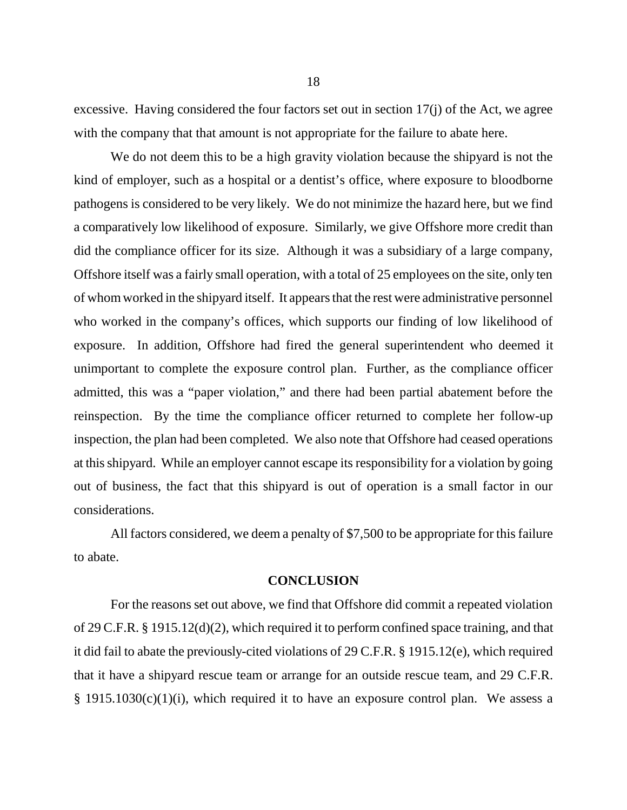excessive. Having considered the four factors set out in section 17(j) of the Act, we agree with the company that that amount is not appropriate for the failure to abate here.

We do not deem this to be a high gravity violation because the shipyard is not the kind of employer, such as a hospital or a dentist's office, where exposure to bloodborne pathogens is considered to be very likely. We do not minimize the hazard here, but we find a comparatively low likelihood of exposure. Similarly, we give Offshore more credit than did the compliance officer for its size. Although it was a subsidiary of a large company, Offshore itself was a fairly small operation, with a total of 25 employees on the site, only ten of whom worked in the shipyard itself. It appears that the rest were administrative personnel who worked in the company's offices, which supports our finding of low likelihood of exposure. In addition, Offshore had fired the general superintendent who deemed it unimportant to complete the exposure control plan. Further, as the compliance officer admitted, this was a "paper violation," and there had been partial abatement before the reinspection. By the time the compliance officer returned to complete her follow-up inspection, the plan had been completed. We also note that Offshore had ceased operations at this shipyard. While an employer cannot escape its responsibility for a violation by going out of business, the fact that this shipyard is out of operation is a small factor in our considerations.

All factors considered, we deem a penalty of \$7,500 to be appropriate for this failure to abate.

#### **CONCLUSION**

For the reasons set out above, we find that Offshore did commit a repeated violation of 29 C.F.R. § 1915.12(d)(2), which required it to perform confined space training, and that it did fail to abate the previously-cited violations of 29 C.F.R. § 1915.12(e), which required that it have a shipyard rescue team or arrange for an outside rescue team, and 29 C.F.R.  $§$  1915.1030(c)(1)(i), which required it to have an exposure control plan. We assess a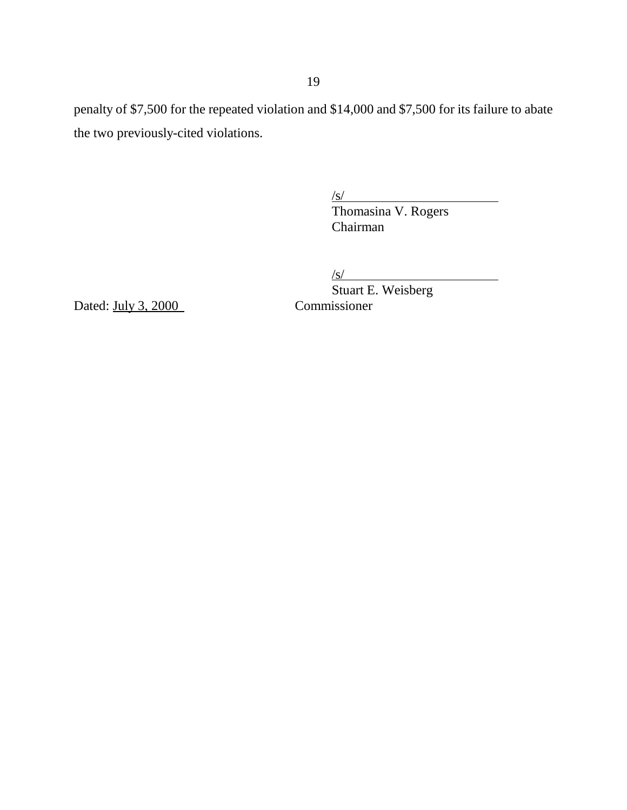penalty of \$7,500 for the repeated violation and \$14,000 and \$7,500 for its failure to abate the two previously-cited violations.

 $\sqrt{s/}$ 

Thomasina V. Rogers Chairman

 $\sqrt{s}$ /

Stuart E. Weisberg<br>Commissioner

Dated:  $July 3, 2000$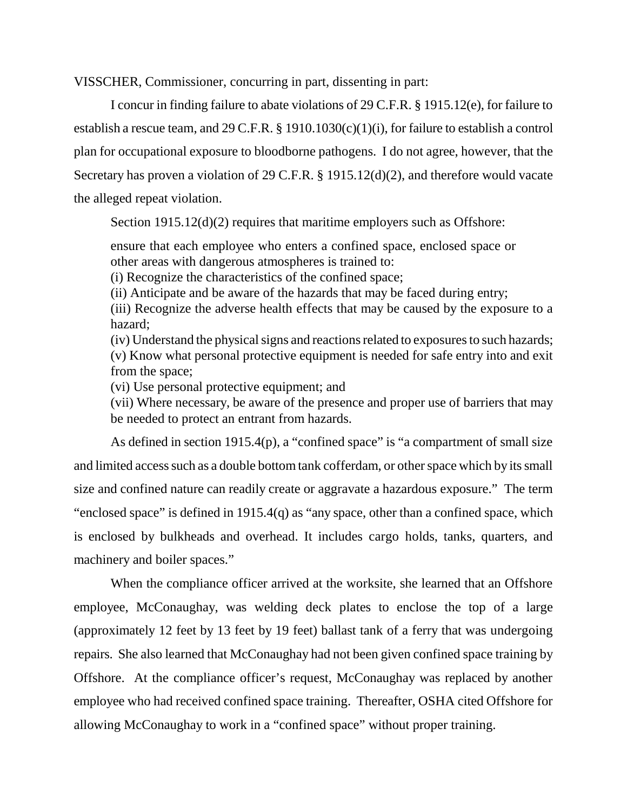VISSCHER, Commissioner, concurring in part, dissenting in part:

I concur in finding failure to abate violations of 29 C.F.R. § 1915.12(e), for failure to establish a rescue team, and 29 C.F.R. § 1910.1030(c)(1)(i), for failure to establish a control plan for occupational exposure to bloodborne pathogens. I do not agree, however, that the Secretary has proven a violation of 29 C.F.R. § 1915.12(d)(2), and therefore would vacate the alleged repeat violation.

Section 1915.12(d)(2) requires that maritime employers such as Offshore:

ensure that each employee who enters a confined space, enclosed space or other areas with dangerous atmospheres is trained to:

(i) Recognize the characteristics of the confined space;

(ii) Anticipate and be aware of the hazards that may be faced during entry;

(iii) Recognize the adverse health effects that may be caused by the exposure to a hazard;

(iv) Understand the physical signs and reactions related to exposures to such hazards; (v) Know what personal protective equipment is needed for safe entry into and exit from the space;

(vi) Use personal protective equipment; and

(vii) Where necessary, be aware of the presence and proper use of barriers that may be needed to protect an entrant from hazards.

As defined in section 1915.4(p), a "confined space" is "a compartment of small size and limited access such as a double bottom tank cofferdam, or other space which by its small size and confined nature can readily create or aggravate a hazardous exposure." The term "enclosed space" is defined in 1915.4(q) as "any space, other than a confined space, which is enclosed by bulkheads and overhead. It includes cargo holds, tanks, quarters, and machinery and boiler spaces."

When the compliance officer arrived at the worksite, she learned that an Offshore employee, McConaughay, was welding deck plates to enclose the top of a large (approximately 12 feet by 13 feet by 19 feet) ballast tank of a ferry that was undergoing repairs. She also learned that McConaughay had not been given confined space training by Offshore. At the compliance officer's request, McConaughay was replaced by another employee who had received confined space training. Thereafter, OSHA cited Offshore for allowing McConaughay to work in a "confined space" without proper training.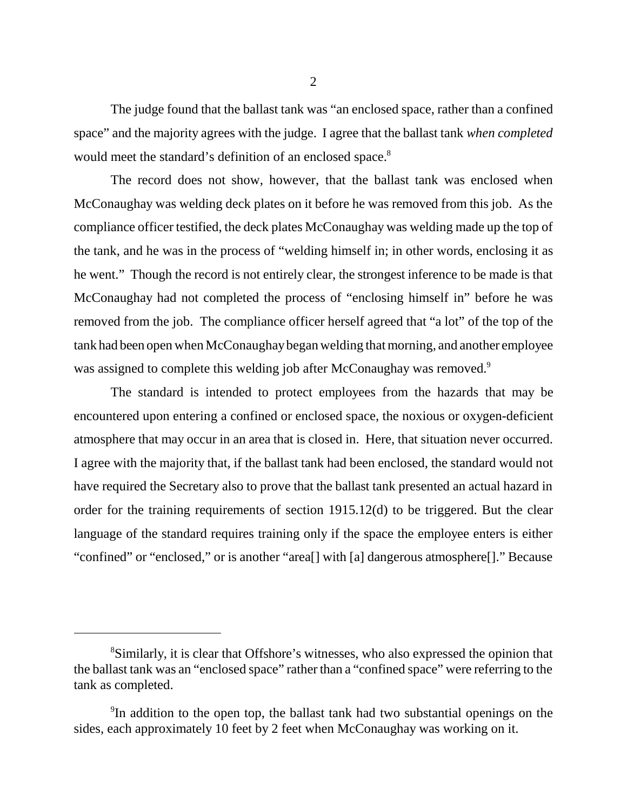The judge found that the ballast tank was "an enclosed space, rather than a confined space" and the majority agrees with the judge. I agree that the ballast tank *when completed* would meet the standard's definition of an enclosed space.<sup>8</sup>

The record does not show, however, that the ballast tank was enclosed when McConaughay was welding deck plates on it before he was removed from this job. As the compliance officer testified, the deck plates McConaughay was welding made up the top of the tank, and he was in the process of "welding himself in; in other words, enclosing it as he went." Though the record is not entirely clear, the strongest inference to be made is that McConaughay had not completed the process of "enclosing himself in" before he was removed from the job. The compliance officer herself agreed that "a lot" of the top of the tank had been open when McConaughay began welding that morning, and another employee was assigned to complete this welding job after McConaughay was removed.<sup>9</sup>

The standard is intended to protect employees from the hazards that may be encountered upon entering a confined or enclosed space, the noxious or oxygen-deficient atmosphere that may occur in an area that is closed in. Here, that situation never occurred. I agree with the majority that, if the ballast tank had been enclosed, the standard would not have required the Secretary also to prove that the ballast tank presented an actual hazard in order for the training requirements of section 1915.12(d) to be triggered. But the clear language of the standard requires training only if the space the employee enters is either "confined" or "enclosed," or is another "area[] with [a] dangerous atmosphere[]." Because

<sup>&</sup>lt;sup>8</sup>Similarly, it is clear that Offshore's witnesses, who also expressed the opinion that the ballast tank was an "enclosed space" rather than a "confined space" were referring to the tank as completed.

<sup>&</sup>lt;sup>9</sup>In addition to the open top, the ballast tank had two substantial openings on the sides, each approximately 10 feet by 2 feet when McConaughay was working on it.